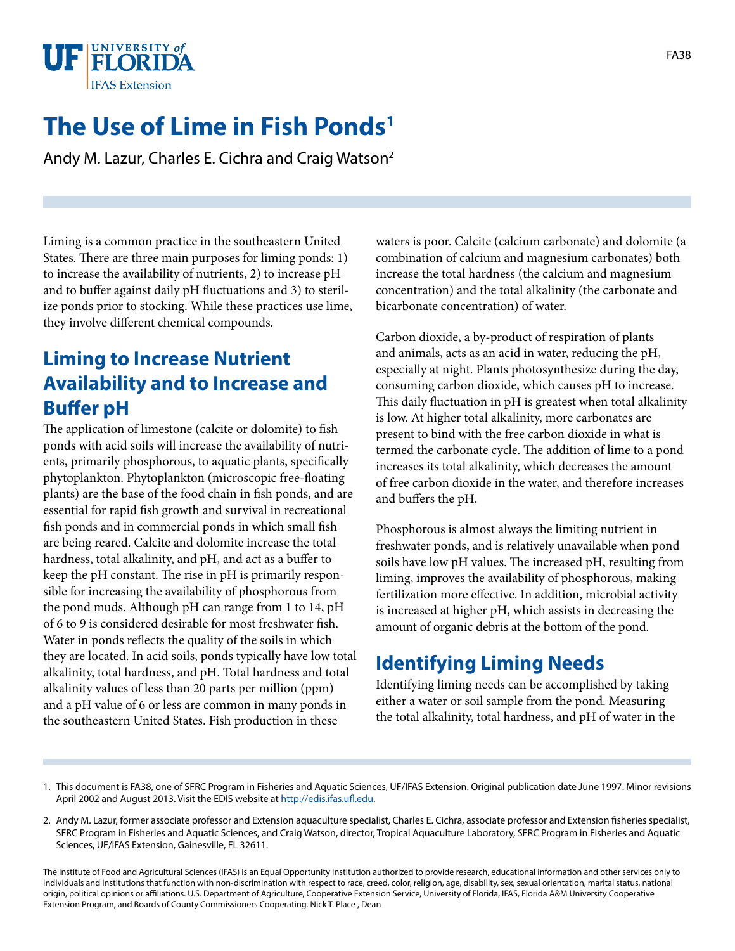

# **The Use of Lime in Fish Ponds1**

Andy M. Lazur, Charles E. Cichra and Craig Watson2

Liming is a common practice in the southeastern United States. There are three main purposes for liming ponds: 1) to increase the availability of nutrients, 2) to increase pH and to buffer against daily pH fluctuations and 3) to sterilize ponds prior to stocking. While these practices use lime, they involve different chemical compounds.

### **Liming to Increase Nutrient Availability and to Increase and Buffer pH**

The application of limestone (calcite or dolomite) to fish ponds with acid soils will increase the availability of nutrients, primarily phosphorous, to aquatic plants, specifically phytoplankton. Phytoplankton (microscopic free-floating plants) are the base of the food chain in fish ponds, and are essential for rapid fish growth and survival in recreational fish ponds and in commercial ponds in which small fish are being reared. Calcite and dolomite increase the total hardness, total alkalinity, and pH, and act as a buffer to keep the pH constant. The rise in pH is primarily responsible for increasing the availability of phosphorous from the pond muds. Although pH can range from 1 to 14, pH of 6 to 9 is considered desirable for most freshwater fish. Water in ponds reflects the quality of the soils in which they are located. In acid soils, ponds typically have low total alkalinity, total hardness, and pH. Total hardness and total alkalinity values of less than 20 parts per million (ppm) and a pH value of 6 or less are common in many ponds in the southeastern United States. Fish production in these

waters is poor. Calcite (calcium carbonate) and dolomite (a combination of calcium and magnesium carbonates) both increase the total hardness (the calcium and magnesium concentration) and the total alkalinity (the carbonate and bicarbonate concentration) of water.

Carbon dioxide, a by-product of respiration of plants and animals, acts as an acid in water, reducing the pH, especially at night. Plants photosynthesize during the day, consuming carbon dioxide, which causes pH to increase. This daily fluctuation in pH is greatest when total alkalinity is low. At higher total alkalinity, more carbonates are present to bind with the free carbon dioxide in what is termed the carbonate cycle. The addition of lime to a pond increases its total alkalinity, which decreases the amount of free carbon dioxide in the water, and therefore increases and buffers the pH.

Phosphorous is almost always the limiting nutrient in freshwater ponds, and is relatively unavailable when pond soils have low pH values. The increased pH, resulting from liming, improves the availability of phosphorous, making fertilization more effective. In addition, microbial activity is increased at higher pH, which assists in decreasing the amount of organic debris at the bottom of the pond.

## **Identifying Liming Needs**

Identifying liming needs can be accomplished by taking either a water or soil sample from the pond. Measuring the total alkalinity, total hardness, and pH of water in the

The Institute of Food and Agricultural Sciences (IFAS) is an Equal Opportunity Institution authorized to provide research, educational information and other services only to individuals and institutions that function with non-discrimination with respect to race, creed, color, religion, age, disability, sex, sexual orientation, marital status, national origin, political opinions or affiliations. U.S. Department of Agriculture, Cooperative Extension Service, University of Florida, IFAS, Florida A&M University Cooperative Extension Program, and Boards of County Commissioners Cooperating. Nick T. Place , Dean

<sup>1.</sup> This document is FA38, one of SFRC Program in Fisheries and Aquatic Sciences, UF/IFAS Extension. Original publication date June 1997. Minor revisions April 2002 and August 2013. Visit the EDIS website at<http://edis.ifas.ufl.edu>.

<sup>2.</sup> Andy M. Lazur, former associate professor and Extension aquaculture specialist, Charles E. Cichra, associate professor and Extension fisheries specialist, SFRC Program in Fisheries and Aquatic Sciences, and Craig Watson, director, Tropical Aquaculture Laboratory, SFRC Program in Fisheries and Aquatic Sciences, UF/IFAS Extension, Gainesville, FL 32611.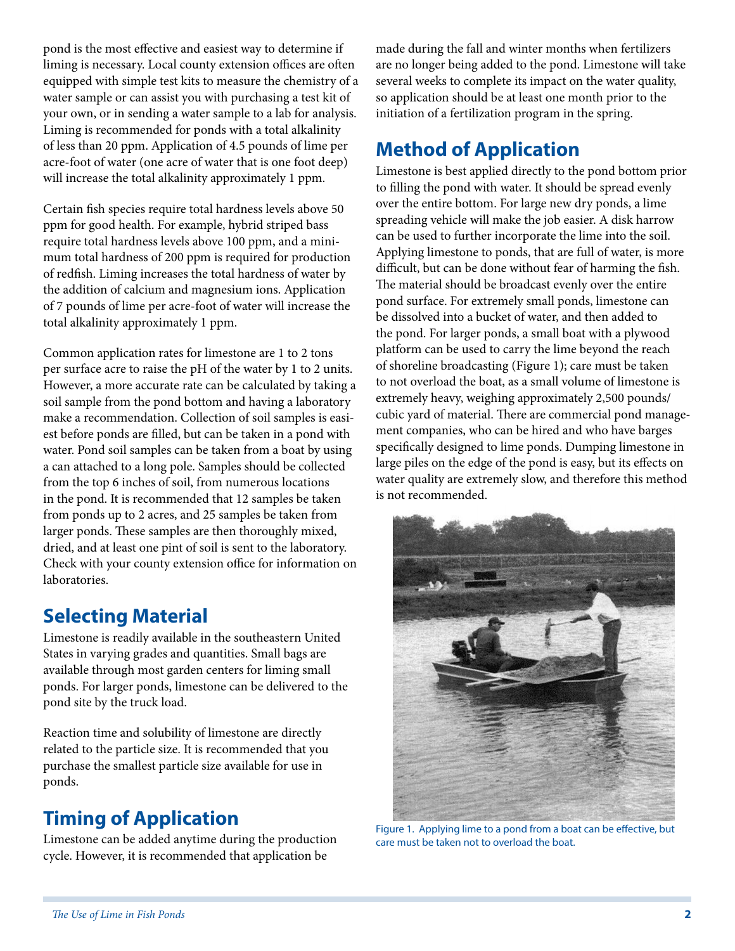pond is the most effective and easiest way to determine if liming is necessary. Local county extension offices are often equipped with simple test kits to measure the chemistry of a water sample or can assist you with purchasing a test kit of your own, or in sending a water sample to a lab for analysis. Liming is recommended for ponds with a total alkalinity of less than 20 ppm. Application of 4.5 pounds of lime per acre-foot of water (one acre of water that is one foot deep) will increase the total alkalinity approximately 1 ppm.

Certain fish species require total hardness levels above 50 ppm for good health. For example, hybrid striped bass require total hardness levels above 100 ppm, and a minimum total hardness of 200 ppm is required for production of redfish. Liming increases the total hardness of water by the addition of calcium and magnesium ions. Application of 7 pounds of lime per acre-foot of water will increase the total alkalinity approximately 1 ppm.

Common application rates for limestone are 1 to 2 tons per surface acre to raise the pH of the water by 1 to 2 units. However, a more accurate rate can be calculated by taking a soil sample from the pond bottom and having a laboratory make a recommendation. Collection of soil samples is easiest before ponds are filled, but can be taken in a pond with water. Pond soil samples can be taken from a boat by using a can attached to a long pole. Samples should be collected from the top 6 inches of soil, from numerous locations in the pond. It is recommended that 12 samples be taken from ponds up to 2 acres, and 25 samples be taken from larger ponds. These samples are then thoroughly mixed, dried, and at least one pint of soil is sent to the laboratory. Check with your county extension office for information on laboratories.

#### **Selecting Material**

Limestone is readily available in the southeastern United States in varying grades and quantities. Small bags are available through most garden centers for liming small ponds. For larger ponds, limestone can be delivered to the pond site by the truck load.

Reaction time and solubility of limestone are directly related to the particle size. It is recommended that you purchase the smallest particle size available for use in ponds.

### **Timing of Application**

Limestone can be added anytime during the production cycle. However, it is recommended that application be

made during the fall and winter months when fertilizers are no longer being added to the pond. Limestone will take several weeks to complete its impact on the water quality, so application should be at least one month prior to the initiation of a fertilization program in the spring.

### **Method of Application**

Limestone is best applied directly to the pond bottom prior to filling the pond with water. It should be spread evenly over the entire bottom. For large new dry ponds, a lime spreading vehicle will make the job easier. A disk harrow can be used to further incorporate the lime into the soil. Applying limestone to ponds, that are full of water, is more difficult, but can be done without fear of harming the fish. The material should be broadcast evenly over the entire pond surface. For extremely small ponds, limestone can be dissolved into a bucket of water, and then added to the pond. For larger ponds, a small boat with a plywood platform can be used to carry the lime beyond the reach of shoreline broadcasting (Figure 1); care must be taken to not overload the boat, as a small volume of limestone is extremely heavy, weighing approximately 2,500 pounds/ cubic yard of material. There are commercial pond management companies, who can be hired and who have barges specifically designed to lime ponds. Dumping limestone in large piles on the edge of the pond is easy, but its effects on water quality are extremely slow, and therefore this method is not recommended.



Figure 1. Applying lime to a pond from a boat can be effective, but care must be taken not to overload the boat.